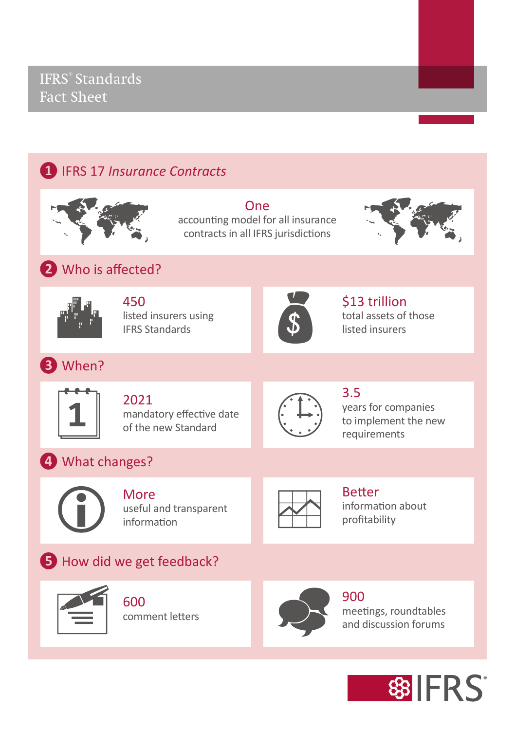## **❶** IFRS 17 *Insurance Contracts*



One accounting model for all insurance contracts in all IFRS jurisdictions



#### **❷** Who is affected?



450 listed insurers using IFRS Standards



\$13 trillion total assets of those listed insurers

## **❸** When?



2021 mandatory effective date of the new Standard



3.5 years for companies to implement the new requirements

## **❹** What changes?



More useful and transparent information



Better information about profitability

#### **b** How did we get feedback?



600 comment letters



900 meetings, roundtables and discussion forums

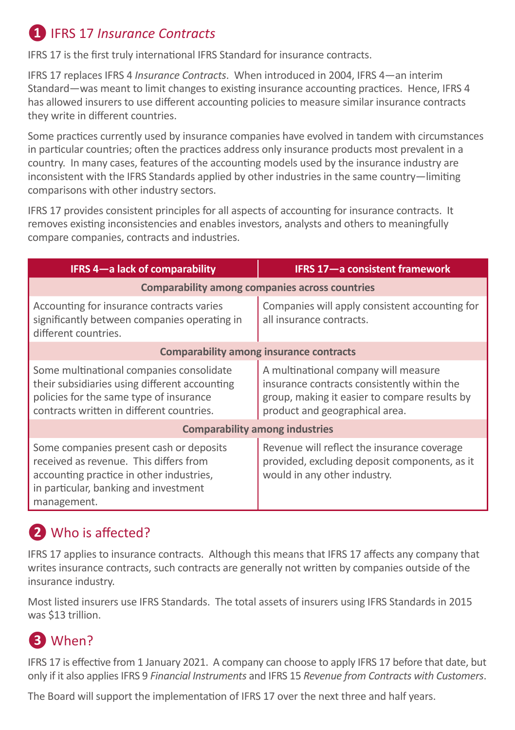## **❶** IFRS 17 *Insurance Contracts*

IFRS 17 is the first truly international IFRS Standard for insurance contracts.

IFRS 17 replaces IFRS 4 *Insurance Contracts*. When introduced in 2004, IFRS 4—an interim Standard—was meant to limit changes to existing insurance accounting practices. Hence, IFRS 4 has allowed insurers to use different accounting policies to measure similar insurance contracts they write in different countries.

Some practices currently used by insurance companies have evolved in tandem with circumstances in particular countries; often the practices address only insurance products most prevalent in a country. In many cases, features of the accounting models used by the insurance industry are inconsistent with the IFRS Standards applied by other industries in the same country—limiting comparisons with other industry sectors.

IFRS 17 provides consistent principles for all aspects of accounting for insurance contracts. It removes existing inconsistencies and enables investors, analysts and others to meaningfully compare companies, contracts and industries.

| IFRS 4-a lack of comparability                                                                                                                                                        | <b>IFRS 17-a consistent framework</b>                                                                                                                                  |  |
|---------------------------------------------------------------------------------------------------------------------------------------------------------------------------------------|------------------------------------------------------------------------------------------------------------------------------------------------------------------------|--|
| <b>Comparability among companies across countries</b>                                                                                                                                 |                                                                                                                                                                        |  |
| Accounting for insurance contracts varies<br>significantly between companies operating in<br>different countries.                                                                     | Companies will apply consistent accounting for<br>all insurance contracts.                                                                                             |  |
| <b>Comparability among insurance contracts</b>                                                                                                                                        |                                                                                                                                                                        |  |
| Some multinational companies consolidate<br>their subsidiaries using different accounting<br>policies for the same type of insurance<br>contracts written in different countries.     | A multinational company will measure<br>insurance contracts consistently within the<br>group, making it easier to compare results by<br>product and geographical area. |  |
| <b>Comparability among industries</b>                                                                                                                                                 |                                                                                                                                                                        |  |
| Some companies present cash or deposits<br>received as revenue. This differs from<br>accounting practice in other industries,<br>in particular, banking and investment<br>management. | Revenue will reflect the insurance coverage<br>provided, excluding deposit components, as it<br>would in any other industry.                                           |  |

# **❷** Who is affected?

IFRS 17 applies to insurance contracts. Although this means that IFRS 17 affects any company that writes insurance contracts, such contracts are generally not written by companies outside of the insurance industry.

Most listed insurers use IFRS Standards. The total assets of insurers using IFRS Standards in 2015 was \$13 trillion.

## **❸** When?

IFRS 17 is effective from 1 January 2021. A company can choose to apply IFRS 17 before that date, but only if it also applies IFRS 9 *Financial Instruments* and IFRS 15 *Revenue from Contracts with Customers*.

The Board will support the implementation of IFRS 17 over the next three and half years.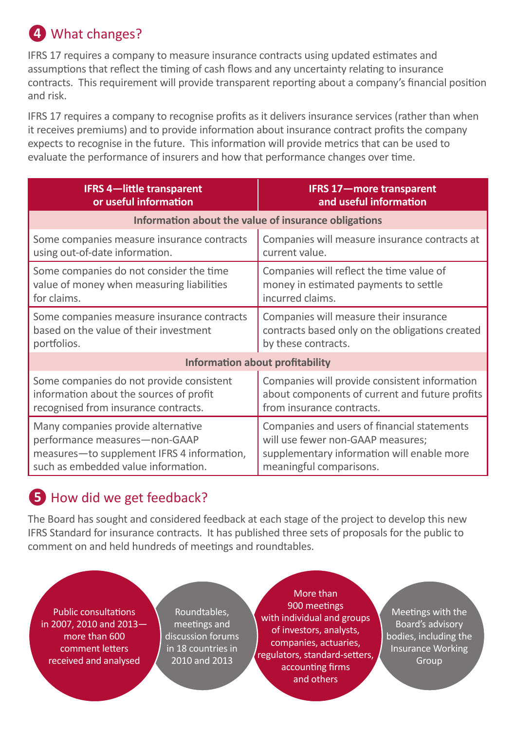# **❹** What changes?

IFRS 17 requires a company to measure insurance contracts using updated estimates and assumptions that reflect the timing of cash flows and any uncertainty relating to insurance contracts. This requirement will provide transparent reporting about a company's financial position and risk.

IFRS 17 requires a company to recognise profits as it delivers insurance services (rather than when it receives premiums) and to provide information about insurance contract profits the company expects to recognise in the future. This information will provide metrics that can be used to evaluate the performance of insurers and how that performance changes over time.

| <b>IFRS 4-little transparent</b>                     | IFRS 17-more transparent                        |  |
|------------------------------------------------------|-------------------------------------------------|--|
| or useful information                                | and useful information                          |  |
| Information about the value of insurance obligations |                                                 |  |
| Some companies measure insurance contracts           | Companies will measure insurance contracts at   |  |
| using out-of-date information.                       | current value.                                  |  |
| Some companies do not consider the time              | Companies will reflect the time value of        |  |
| value of money when measuring liabilities            | money in estimated payments to settle           |  |
| for claims.                                          | incurred claims.                                |  |
| Some companies measure insurance contracts           | Companies will measure their insurance          |  |
| based on the value of their investment               | contracts based only on the obligations created |  |
| portfolios.                                          | by these contracts.                             |  |
| <b>Information about profitability</b>               |                                                 |  |
| Some companies do not provide consistent             | Companies will provide consistent information   |  |
| information about the sources of profit              | about components of current and future profits  |  |
| recognised from insurance contracts.                 | from insurance contracts.                       |  |
| Many companies provide alternative                   | Companies and users of financial statements     |  |
| performance measures-non-GAAP                        | will use fewer non-GAAP measures;               |  |
| measures-to supplement IFRS 4 information,           | supplementary information will enable more      |  |
| such as embedded value information.                  | meaningful comparisons.                         |  |

## **b** How did we get feedback?

The Board has sought and considered feedback at each stage of the project to develop this new IFRS Standard for insurance contracts. It has published three sets of proposals for the public to comment on and held hundreds of meetings and roundtables.

Public consultations in 2007, 2010 and 2013 more than 600 comment letters received and analysed

Roundtables, meetings and discussion forums in 18 countries in 2010 and 2013

More than 900 meetings with individual and groups of investors, analysts, companies, actuaries, regulators, standard‑setters, accounting firms and others

Meetings with the Board's advisory bodies, including the Insurance Working Group